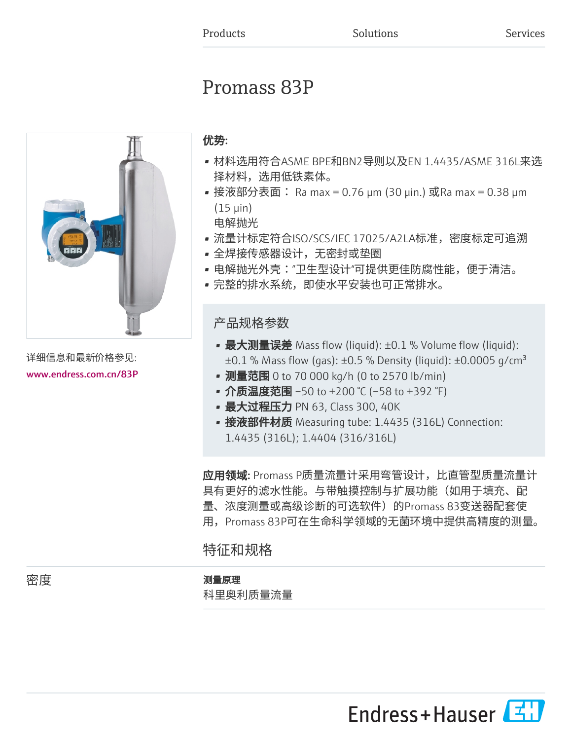# Promass 83P



详细信息和最新价格参见: [www.endress.com.cn/83P](https://www.endress.com.cn/83P)

### 优势:

- 材料选用符合ASME BPE和BN2导则以及EN 1.4435/ASME 316L来选 择材料,选用低铁素体。
- 接液部分表面: Ra max = 0.76 μm (30 μin.) 或Ra max = 0.38 μm (15 μin) 电解抛光
- 流量计标定符合ISO/SCS/IEC 17025/A2LA标准,密度标定可追溯
- 全焊接传感器设计,无密封或垫圈
- 电解抛光外壳:"卫生型设计"可提供更佳防腐性能,便于清洁。
- 完整的排水系统,即使水平安装也可正常排水。

### 产品规格参数

- 最大测量误差 Mass flow (liquid): ±0.1 % Volume flow (liquid):  $\pm 0.1$  % Mass flow (gas):  $\pm 0.5$  % Density (liquid):  $\pm 0.0005$  g/cm<sup>3</sup>
- 测量范围 0 to 70 000 kg/h (0 to 2570 lb/min)
- 介质温度范围 –50 to +200 ℃ (–58 to +392 °F)
- 最大过程压力 PN 63, Class 300, 40K
- 接液部件材质 Measuring tube: 1.4435 (316L) Connection: 1.4435 (316L); 1.4404 (316/316L)

应用领域: Promass P质量流量计采用弯管设计,比直管型质量流量计 具有更好的滤水性能。与带触摸控制与扩展功能(如用于填充、配 量、浓度测量或高级诊断的可选软件)的Promass 83变送器配套使 用,Promass 83P可在生命科学领域的无菌环境中提供高精度的测量。

## 特征和规格

### 密度 しゅうしゃ かいしゃ 測量原理

科里奥利质量流量

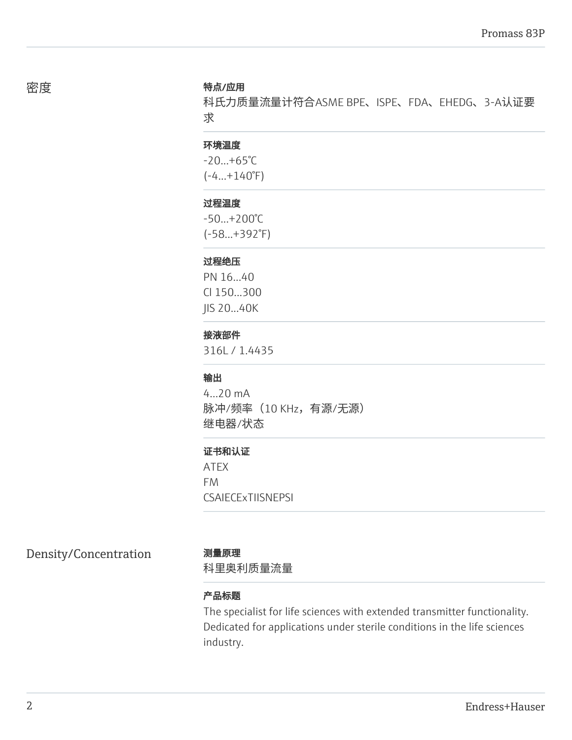#### 密度 さいしん かいしゃ 特点/应用

科氏力质量流量计符合ASME BPE、ISPE、FDA、EHEDG、3-A认证要 求

### 环境温度

 $-20...+65^{\circ}C$  $(-4...+140°F)$ 

#### 过程温度

-50...+200°C (-58...+392°F)

#### 过程绝压

PN 16...40 Cl 150...300 JIS 20...40K

### 接液部件

316L / 1.4435

#### 输出

4...20 mA 脉冲/频率 (10 KHz, 有源/无源) 继电器/状态

#### 证书和认证

ATEX FM **CSAIECEXTIISNEPSI** 

Density/Concentration 测量原理

科里奥利质量流量

#### 产品标题

The specialist for life sciences with extended transmitter functionality. Dedicated for applications under sterile conditions in the life sciences industry.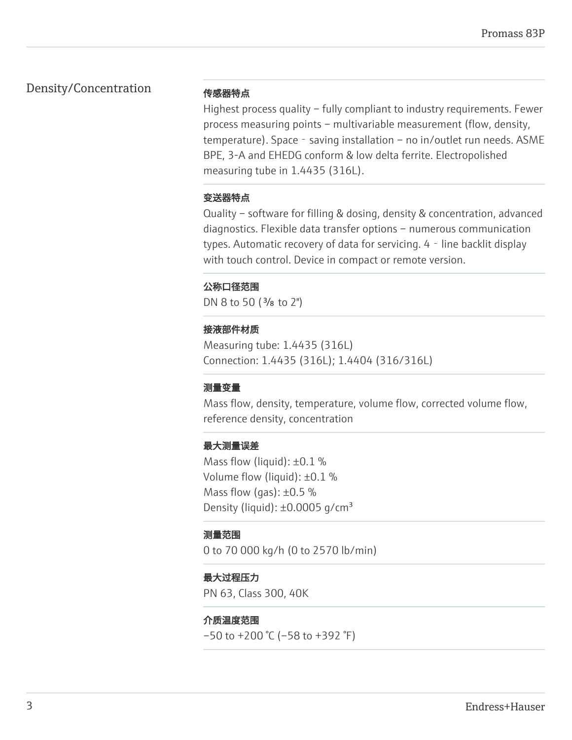### Density/Concentration

#### 传感器特点

Highest process quality – fully compliant to industry requirements. Fewer process measuring points – multivariable measurement (flow, density, temperature). Space - saving installation – no in/outlet run needs. ASME BPE, 3-A and EHEDG conform & low delta ferrite. Electropolished measuring tube in 1.4435 (316L).

### 变送器特点

Quality – software for filling & dosing, density & concentration, advanced diagnostics. Flexible data transfer options – numerous communication types. Automatic recovery of data for servicing. 4 - line backlit display with touch control. Device in compact or remote version.

### 公称口径范围

DN 8 to 50 ( $\frac{3}{8}$  to 2")

### 接液部件材质

Measuring tube: 1.4435 (316L) Connection: 1.4435 (316L); 1.4404 (316/316L)

### 测量变量

Mass flow, density, temperature, volume flow, corrected volume flow, reference density, concentration

### 最大测量误差

Mass flow (liquid): ±0.1 % Volume flow (liquid): ±0.1 % Mass flow (gas):  $\pm 0.5$  % Density (liquid):  $\pm 0.0005$  g/cm<sup>3</sup>

### 测量范围

0 to 70 000 kg/h (0 to 2570 lb/min)

### 最大过程压力

PN 63, Class 300, 40K

### 介质温度范围

 $-50$  to  $+200$  °C ( $-58$  to  $+392$  °F)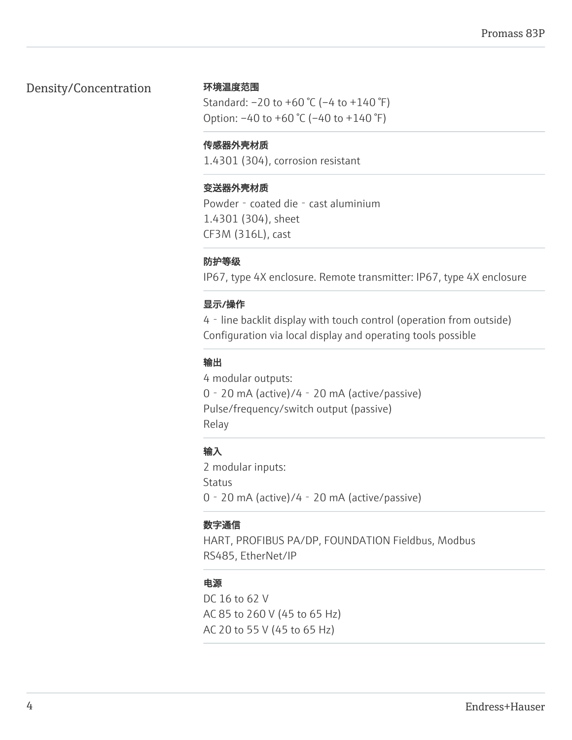### Density/Concentration

#### 环境温度范围

Standard: –20 to +60 °C (–4 to +140 °F) Option:  $-40$  to  $+60$  °C ( $-40$  to  $+140$  °F)

### 传感器外壳材质

1.4301 (304), corrosion resistant

### 变送器外壳材质

Powder - coated die - cast aluminium 1.4301 (304), sheet CF3M (316L), cast

### 防护等级

IP67, type 4X enclosure. Remote transmitter: IP67, type 4X enclosure

### 显示/操作

4‐line backlit display with touch control (operation from outside) Configuration via local display and operating tools possible

### 输出

4 modular outputs: 0‐20 mA (active)/4‐20 mA (active/passive) Pulse/frequency/switch output (passive) Relay

### 输入

2 modular inputs: Status 0‐20 mA (active)/4‐20 mA (active/passive)

### 数字通信

HART, PROFIBUS PA/DP, FOUNDATION Fieldbus, Modbus RS485, EtherNet/IP

### 电源

DC 16 to 62 V AC 85 to 260 V (45 to 65 Hz) AC 20 to 55 V (45 to 65 Hz)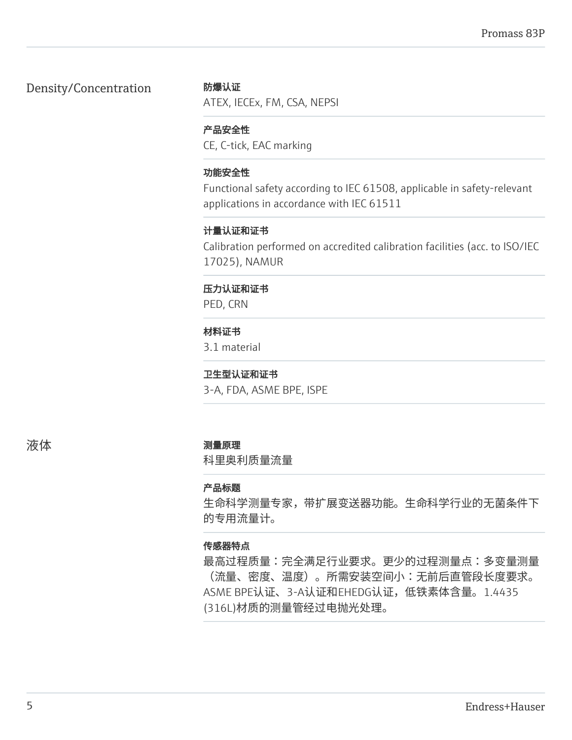### Density/Concentration

### 防爆认证

ATEX, IECEx, FM, CSA, NEPSI

### 产品安全性

CE, C-tick, EAC marking

### 功能安全性

Functional safety according to IEC 61508, applicable in safety-relevant applications in accordance with IEC 61511

### 计量认证和证书

Calibration performed on accredited calibration facilities (acc. to ISO/IEC 17025), NAMUR

### 压力认证和证书

PED, CRN

### 材料证书

3.1 material

### 卫生型认证和证书

3-A, FDA, ASME BPE, ISPE

### 液体 测量原理

科里奥利质量流量

### 产品标题

生命科学测量专家,带扩展变送器功能。生命科学行业的无菌条件下 的专用流量计。

### 传感器特点

最高过程质量:完全满足行业要求。更少的过程测量点:多变量测量 (流量、密度、温度)。所需安装空间小:无前后直管段长度要求。 ASME BPE认证、3-A认证和EHEDG认证,低铁素体含量。1.4435 (316L)材质的测量管经过电抛光处理。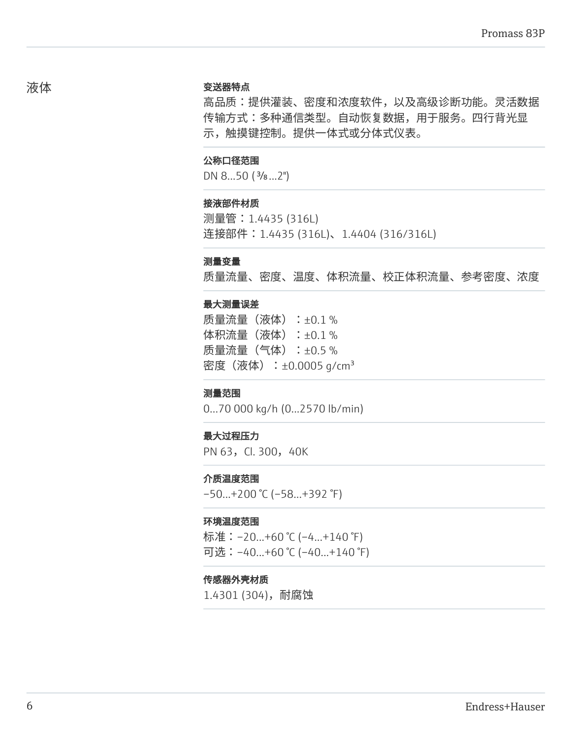#### 变送器特点

高品质:提供灌装、密度和浓度软件,以及高级诊断功能。灵活数据 传输方式:多种通信类型。自动恢复数据,用于服务。四行背光显 示,触摸键控制。提供一体式或分体式仪表。

#### 公称口径范围

DN 8...50 ( $\frac{3}{8}$ ...2")

#### 接液部件材质

测量管:1.4435 (316L) 连接部件: 1.4435 (316L)、1.4404 (316/316L)

#### 测量变量

质量流量、密度、温度、体积流量、校正体积流量、参考密度、浓度

#### 最大测量误差

质量流量(液体):±0.1% 体积流量 (液体) : ±0.1 % 质量流量(气体):±0.5 % 密度 (液体) : ±0.0005 g/cm<sup>3</sup>

#### 测量范围

0...70 000 kg/h (0...2570 lb/min)

#### 最大过程压力

PN 63, Cl. 300, 40K

#### 介质温度范围

–50...+200 °C (–58...+392 °F)

#### 环境温度范围

标准: -20...+60 ℃ (-4...+140 °F) 可选:–40...+60 °C (–40...+140 °F)

#### 传感器外壳材质

1.4301 (304),耐腐蚀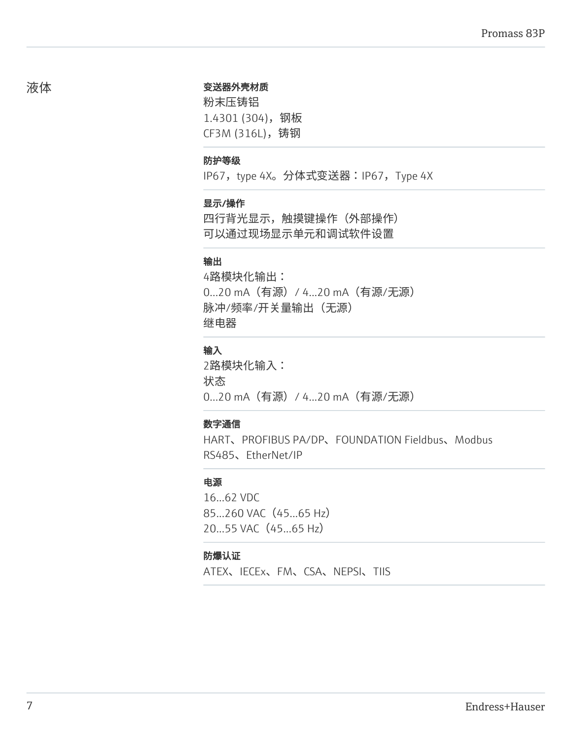#### 变送器外壳材质

粉末压铸铝 1.4301 (304),钢板 CF3M (316L),铸钢

#### 防护等级

IP67, type 4X。分体式变送器:IP67, Type 4X

#### 显示/操作

四行背光显示,触摸键操作(外部操作) 可以通过现场显示单元和调试软件设置

#### 输出

4路模块化输出: 0...20 mA(有源)/ 4...20 mA(有源/无源) 脉冲/频率/开关量输出(无源) 继电器

### 输入

2路模块化输入: 状态 0...20 mA(有源)/ 4...20 mA(有源/无源)

### 数字通信

HART、PROFIBUS PA/DP、FOUNDATION Fieldbus、Modbus RS485、EtherNet/IP

#### 电源

16...62 VDC 85...260 VAC (45...65 Hz) 20...55 VAC (45...65 Hz)

#### 防爆认证

ATEX、IECEx、FM、CSA、NEPSI、TIIS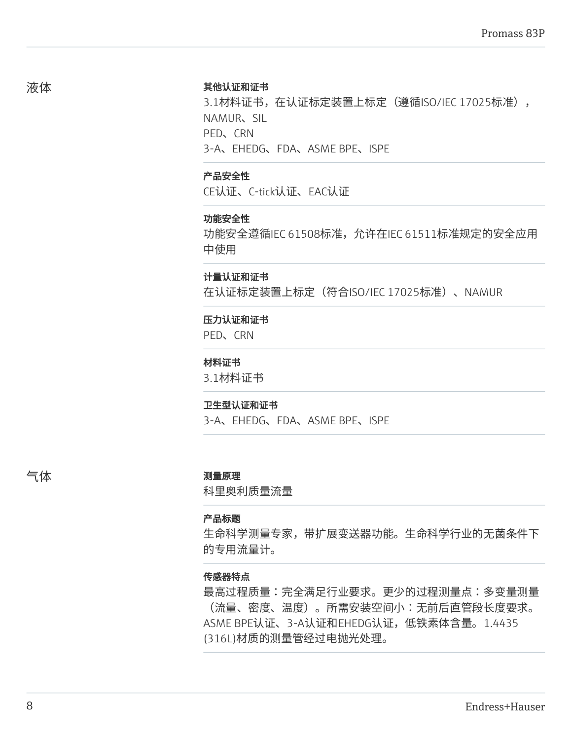#### 其他认证和证书

3.1材料证书,在认证标定装置上标定(遵循ISO/IEC 17025标准), NAMUR、SIL PED、CRN 3-A、EHEDG、FDA、ASME BPE、ISPE

#### 产品安全性

CE认证、C-tick认证、EAC认证

#### 功能安全性

功能安全遵循IEC 61508标准,允许在IEC 61511标准规定的安全应用 中使用

#### 计量认证和证书

在认证标定装置上标定(符合ISO/IEC 17025标准)、NAMUR

#### 压力认证和证书

PED、CRN

#### 材料证书

3.1材料证书

#### 卫生型认证和证书

3-A、EHEDG、FDA、ASME BPE、ISPE

#### 气体 测量原理

科里奥利质量流量

#### 产品标题

生命科学测量专家,带扩展变送器功能。生命科学行业的无菌条件下 的专用流量计。

### 传感器特点

最高过程质量:完全满足行业要求。更少的过程测量点:多变量测量 (流量、密度、温度)。所需安装空间小:无前后直管段长度要求。 ASME BPE认证、3-A认证和EHEDG认证,低铁素体含量。1.4435 (316L)材质的测量管经过电抛光处理。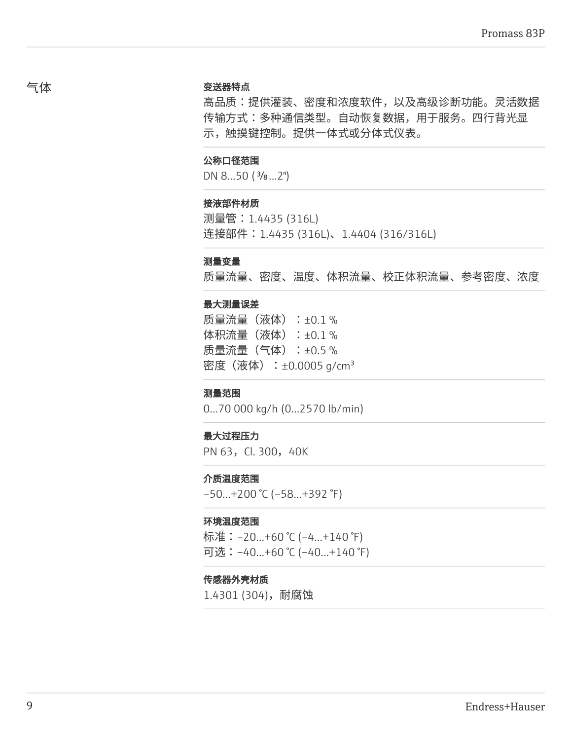#### 变送器特点

高品质:提供灌装、密度和浓度软件,以及高级诊断功能。灵活数据 传输方式:多种通信类型。自动恢复数据,用于服务。四行背光显 示,触摸键控制。提供一体式或分体式仪表。

#### 公称口径范围

DN 8...50 ( $\frac{3}{8}$ ...2")

#### 接液部件材质

测量管:1.4435 (316L) 连接部件: 1.4435 (316L)、1.4404 (316/316L)

#### 测量变量

质量流量、密度、温度、体积流量、校正体积流量、参考密度、浓度

#### 最大测量误差

质量流量(液体):±0.1% 体积流量 (液体) : ±0.1 % 质量流量(气体):±0.5 % 密度 (液体) : ±0.0005 g/cm<sup>3</sup>

#### 测量范围

0...70 000 kg/h (0...2570 lb/min)

#### 最大过程压力

PN 63, Cl. 300, 40K

#### 介质温度范围

–50...+200 °C (–58...+392 °F)

#### 环境温度范围

标准: -20...+60 ℃ (-4...+140 °F) 可选:–40...+60 °C (–40...+140 °F)

#### 传感器外壳材质

1.4301 (304),耐腐蚀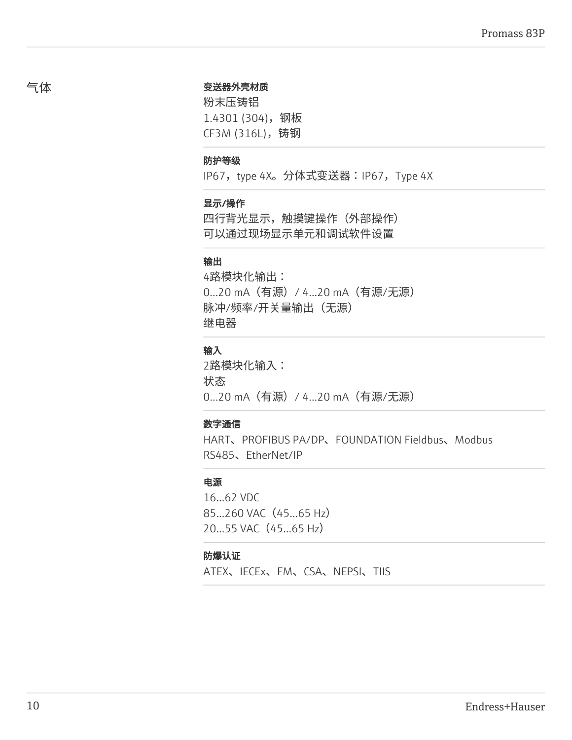#### 变送器外壳材质

粉末压铸铝 1.4301 (304),钢板 CF3M (316L),铸钢

#### 防护等级

IP67, type 4X。分体式变送器:IP67, Type 4X

#### 显示/操作

四行背光显示,触摸键操作(外部操作) 可以通过现场显示单元和调试软件设置

#### 输出

4路模块化输出: 0...20 mA(有源)/ 4...20 mA(有源/无源) 脉冲/频率/开关量输出(无源) 继电器

### 输入

2路模块化输入: 状态 0...20 mA(有源)/ 4...20 mA(有源/无源)

### 数字通信

HART、PROFIBUS PA/DP、FOUNDATION Fieldbus、Modbus RS485、EtherNet/IP

#### 电源

16...62 VDC 85...260 VAC (45...65 Hz) 20...55 VAC (45...65 Hz)

#### 防爆认证

ATEX、IECEx、FM、CSA、NEPSI、TIIS